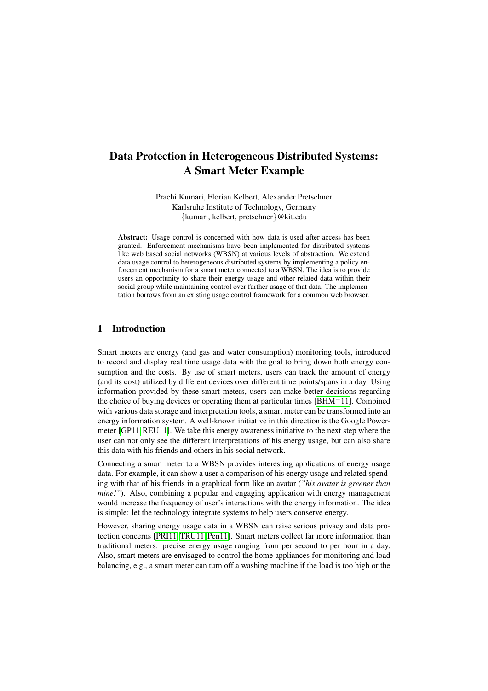# Data Protection in Heterogeneous Distributed Systems: A Smart Meter Example

Prachi Kumari, Florian Kelbert, Alexander Pretschner Karlsruhe Institute of Technology, Germany {kumari, kelbert, pretschner}@kit.edu

Abstract: Usage control is concerned with how data is used after access has been granted. Enforcement mechanisms have been implemented for distributed systems like web based social networks (WBSN) at various levels of abstraction. We extend data usage control to heterogeneous distributed systems by implementing a policy enforcement mechanism for a smart meter connected to a WBSN. The idea is to provide users an opportunity to share their energy usage and other related data within their social group while maintaining control over further usage of that data. The implementation borrows from an existing usage control framework for a common web browser.

# 1 Introduction

Smart meters are energy (and gas and water consumption) monitoring tools, introduced to record and display real time usage data with the goal to bring down both energy consumption and the costs. By use of smart meters, users can track the amount of energy (and its cost) utilized by different devices over different time points/spans in a day. Using information provided by these smart meters, users can make better decisions regarding the choice of buying devices or operating them at particular times  $[BHM+11]$  $[BHM+11]$ . Combined with various data storage and interpretation tools, a smart meter can be transformed into an energy information system. A well-known initiative in this direction is the Google Powermeter [\[GP11,](#page-13-0)[REU11\]](#page-14-0). We take this energy awareness initiative to the next step where the user can not only see the different interpretations of his energy usage, but can also share this data with his friends and others in his social network.

Connecting a smart meter to a WBSN provides interesting applications of energy usage data. For example, it can show a user a comparison of his energy usage and related spending with that of his friends in a graphical form like an avatar (*"his avatar is greener than mine!"*). Also, combining a popular and engaging application with energy management would increase the frequency of user's interactions with the energy information. The idea is simple: let the technology integrate systems to help users conserve energy.

However, sharing energy usage data in a WBSN can raise serious privacy and data protection concerns [\[PRI11,](#page-14-1) [TRU11,](#page-14-2) [Pen11\]](#page-14-3). Smart meters collect far more information than traditional meters: precise energy usage ranging from per second to per hour in a day. Also, smart meters are envisaged to control the home appliances for monitoring and load balancing, e.g., a smart meter can turn off a washing machine if the load is too high or the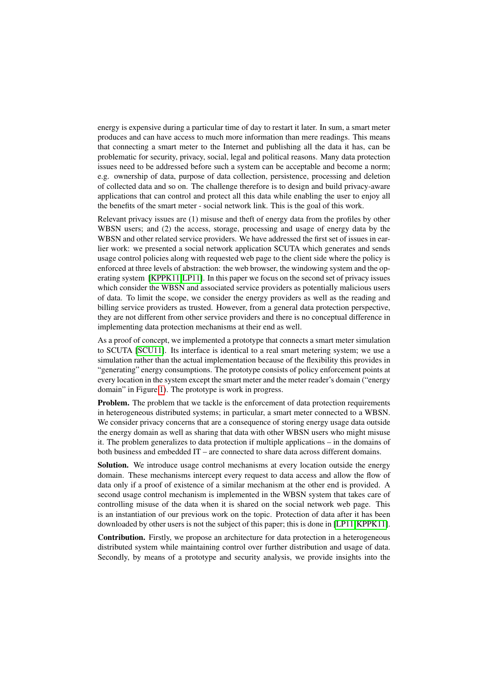energy is expensive during a particular time of day to restart it later. In sum, a smart meter produces and can have access to much more information than mere readings. This means that connecting a smart meter to the Internet and publishing all the data it has, can be problematic for security, privacy, social, legal and political reasons. Many data protection issues need to be addressed before such a system can be acceptable and become a norm; e.g. ownership of data, purpose of data collection, persistence, processing and deletion of collected data and so on. The challenge therefore is to design and build privacy-aware applications that can control and protect all this data while enabling the user to enjoy all the benefits of the smart meter - social network link. This is the goal of this work.

Relevant privacy issues are (1) misuse and theft of energy data from the profiles by other WBSN users; and (2) the access, storage, processing and usage of energy data by the WBSN and other related service providers. We have addressed the first set of issues in earlier work: we presented a social network application SCUTA which generates and sends usage control policies along with requested web page to the client side where the policy is enforced at three levels of abstraction: the web browser, the windowing system and the operating system [\[KPPK11,](#page-13-1)[LP11\]](#page-13-2). In this paper we focus on the second set of privacy issues which consider the WBSN and associated service providers as potentially malicious users of data. To limit the scope, we consider the energy providers as well as the reading and billing service providers as trusted. However, from a general data protection perspective, they are not different from other service providers and there is no conceptual difference in implementing data protection mechanisms at their end as well.

As a proof of concept, we implemented a prototype that connects a smart meter simulation to SCUTA [\[SCU11\]](#page-14-4). Its interface is identical to a real smart metering system; we use a simulation rather than the actual implementation because of the flexibility this provides in "generating" energy consumptions. The prototype consists of policy enforcement points at every location in the system except the smart meter and the meter reader's domain ("energy domain" in Figure [1\)](#page-4-0). The prototype is work in progress.

Problem. The problem that we tackle is the enforcement of data protection requirements in heterogeneous distributed systems; in particular, a smart meter connected to a WBSN. We consider privacy concerns that are a consequence of storing energy usage data outside the energy domain as well as sharing that data with other WBSN users who might misuse it. The problem generalizes to data protection if multiple applications – in the domains of both business and embedded IT – are connected to share data across different domains.

Solution. We introduce usage control mechanisms at every location outside the energy domain. These mechanisms intercept every request to data access and allow the flow of data only if a proof of existence of a similar mechanism at the other end is provided. A second usage control mechanism is implemented in the WBSN system that takes care of controlling misuse of the data when it is shared on the social network web page. This is an instantiation of our previous work on the topic. Protection of data after it has been downloaded by other users is not the subject of this paper; this is done in [\[LP11,](#page-13-2)[KPPK11\]](#page-13-1).

Contribution. Firstly, we propose an architecture for data protection in a heterogeneous distributed system while maintaining control over further distribution and usage of data. Secondly, by means of a prototype and security analysis, we provide insights into the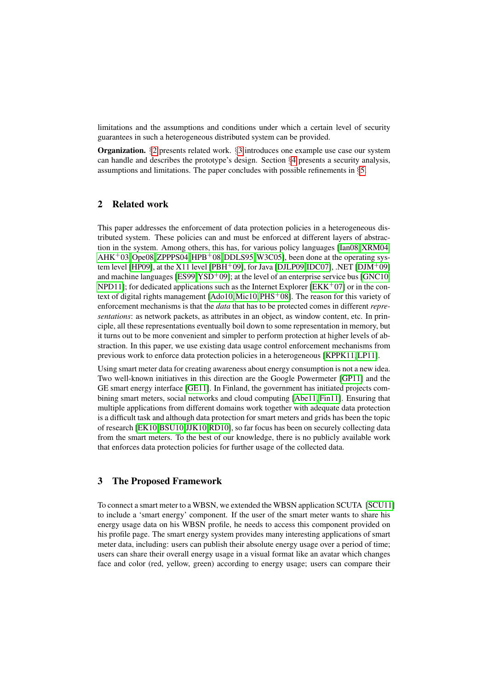limitations and the assumptions and conditions under which a certain level of security guarantees in such a heterogeneous distributed system can be provided.

Organization. §[2](#page-2-0) presents related work. §[3](#page-2-1) introduces one example use case our system can handle and describes the prototype's design. Section §[4](#page-8-0) presents a security analysis, assumptions and limitations. The paper concludes with possible refinements in  $\S5$ .

# <span id="page-2-0"></span>2 Related work

This paper addresses the enforcement of data protection policies in a heterogeneous distributed system. These policies can and must be enforced at different layers of abstraction in the system. Among others, this has, for various policy languages [\[Ian08,](#page-13-3) [XRM04,](#page-14-5)  $AHK+03$  $AHK+03$ , [Ope08,](#page-13-4) [ZPPPS04,](#page-14-6)  $HPB+08$ , [DDLS95,](#page-12-2) [W3C05\]](#page-14-7), been done at the operating sys-tem level [\[HP09\]](#page-13-6), at the X11 level [\[PBH](#page-14-8)+09], for Java [\[DJLP09,](#page-12-3)[IDC07\]](#page-13-7), .NET [\[DJM](#page-12-4)+09] and machine languages  $[ES99, YSD<sup>+</sup>09]$  $[ES99, YSD<sup>+</sup>09]$  $[ES99, YSD<sup>+</sup>09]$  $[ES99, YSD<sup>+</sup>09]$ ; at the level of an enterprise service bus [\[GNC10,](#page-13-8) [NPD11\]](#page-13-9); for dedicated applications such as the Internet Explorer [\[EKK](#page-12-6)<sup>+</sup>07] or in the con-text of digital rights management [\[Ado10,](#page-12-7) [Mic10,](#page-13-10)  $PHS+08$ ]. The reason for this variety of enforcement mechanisms is that the *data* that has to be protected comes in different *representations*: as network packets, as attributes in an object, as window content, etc. In principle, all these representations eventually boil down to some representation in memory, but it turns out to be more convenient and simpler to perform protection at higher levels of abstraction. In this paper, we use existing data usage control enforcement mechanisms from previous work to enforce data protection policies in a heterogeneous [\[KPPK11,](#page-13-1) [LP11\]](#page-13-2).

Using smart meter data for creating awareness about energy consumption is not a new idea. Two well-known initiatives in this direction are the Google Powermeter [\[GP11\]](#page-13-0) and the GE smart energy interface [\[GE11\]](#page-13-11). In Finland, the government has initiated projects combining smart meters, social networks and cloud computing [\[Abe11,](#page-12-8) [Fin11\]](#page-12-9). Ensuring that multiple applications from different domains work together with adequate data protection is a difficult task and although data protection for smart meters and grids has been the topic of research [\[EK10,](#page-12-10)[BSU10,](#page-12-11)[JJK10,](#page-13-12)[RD10\]](#page-14-11), so far focus has been on securely collecting data from the smart meters. To the best of our knowledge, there is no publicly available work that enforces data protection policies for further usage of the collected data.

## <span id="page-2-1"></span>3 The Proposed Framework

To connect a smart meter to a WBSN, we extended the WBSN application SCUTA [\[SCU11\]](#page-14-4) to include a 'smart energy' component. If the user of the smart meter wants to share his energy usage data on his WBSN profile, he needs to access this component provided on his profile page. The smart energy system provides many interesting applications of smart meter data, including: users can publish their absolute energy usage over a period of time; users can share their overall energy usage in a visual format like an avatar which changes face and color (red, yellow, green) according to energy usage; users can compare their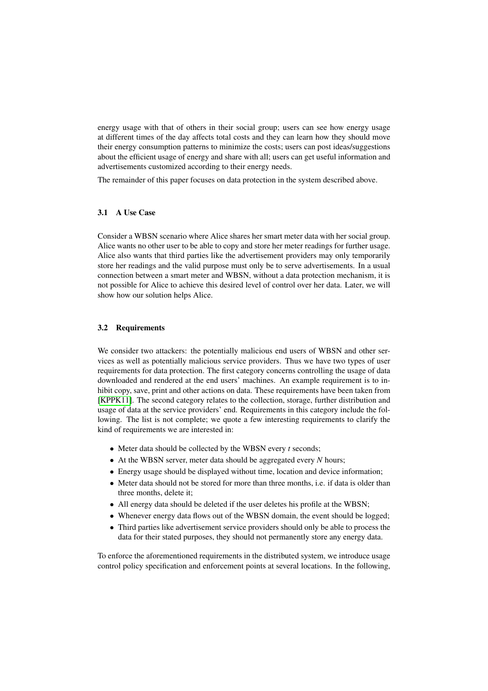energy usage with that of others in their social group; users can see how energy usage at different times of the day affects total costs and they can learn how they should move their energy consumption patterns to minimize the costs; users can post ideas/suggestions about the efficient usage of energy and share with all; users can get useful information and advertisements customized according to their energy needs.

The remainder of this paper focuses on data protection in the system described above.

## <span id="page-3-0"></span>3.1 A Use Case

Consider a WBSN scenario where Alice shares her smart meter data with her social group. Alice wants no other user to be able to copy and store her meter readings for further usage. Alice also wants that third parties like the advertisement providers may only temporarily store her readings and the valid purpose must only be to serve advertisements. In a usual connection between a smart meter and WBSN, without a data protection mechanism, it is not possible for Alice to achieve this desired level of control over her data. Later, we will show how our solution helps Alice.

## 3.2 Requirements

We consider two attackers: the potentially malicious end users of WBSN and other services as well as potentially malicious service providers. Thus we have two types of user requirements for data protection. The first category concerns controlling the usage of data downloaded and rendered at the end users' machines. An example requirement is to inhibit copy, save, print and other actions on data. These requirements have been taken from [\[KPPK11\]](#page-13-1). The second category relates to the collection, storage, further distribution and usage of data at the service providers' end. Requirements in this category include the following. The list is not complete; we quote a few interesting requirements to clarify the kind of requirements we are interested in:

- Meter data should be collected by the WBSN every *t* seconds;
- At the WBSN server, meter data should be aggregated every *N* hours;
- Energy usage should be displayed without time, location and device information;
- Meter data should not be stored for more than three months, i.e. if data is older than three months, delete it;
- All energy data should be deleted if the user deletes his profile at the WBSN;
- Whenever energy data flows out of the WBSN domain, the event should be logged;
- Third parties like advertisement service providers should only be able to process the data for their stated purposes, they should not permanently store any energy data.

To enforce the aforementioned requirements in the distributed system, we introduce usage control policy specification and enforcement points at several locations. In the following,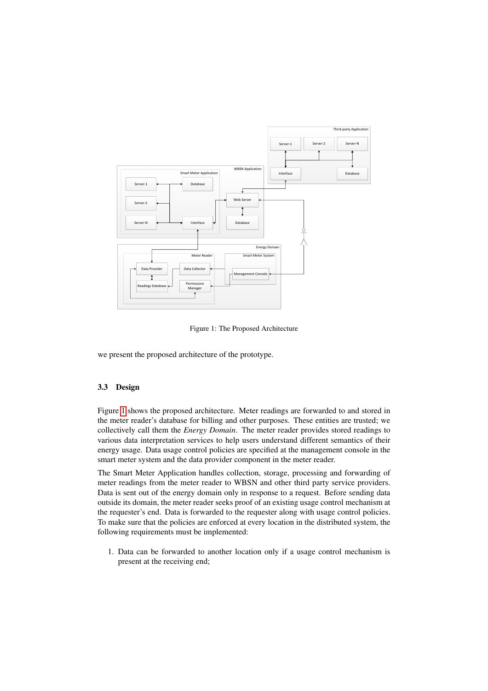

<span id="page-4-0"></span>Figure 1: The Proposed Architecture

we present the proposed architecture of the prototype.

# 3.3 Design

Figure [1](#page-4-0) shows the proposed architecture. Meter readings are forwarded to and stored in the meter reader's database for billing and other purposes. These entities are trusted; we collectively call them the *Energy Domain*. The meter reader provides stored readings to various data interpretation services to help users understand different semantics of their energy usage. Data usage control policies are specified at the management console in the smart meter system and the data provider component in the meter reader.

The Smart Meter Application handles collection, storage, processing and forwarding of meter readings from the meter reader to WBSN and other third party service providers. Data is sent out of the energy domain only in response to a request. Before sending data outside its domain, the meter reader seeks proof of an existing usage control mechanism at the requester's end. Data is forwarded to the requester along with usage control policies. To make sure that the policies are enforced at every location in the distributed system, the following requirements must be implemented:

1. Data can be forwarded to another location only if a usage control mechanism is present at the receiving end;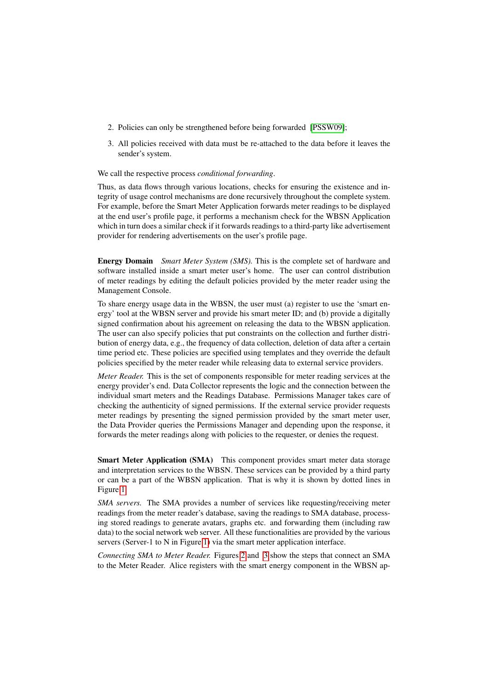- 2. Policies can only be strengthened before being forwarded [\[PSSW09\]](#page-14-12);
- 3. All policies received with data must be re-attached to the data before it leaves the sender's system.

#### We call the respective process *conditional forwarding*.

Thus, as data flows through various locations, checks for ensuring the existence and integrity of usage control mechanisms are done recursively throughout the complete system. For example, before the Smart Meter Application forwards meter readings to be displayed at the end user's profile page, it performs a mechanism check for the WBSN Application which in turn does a similar check if it forwards readings to a third-party like advertisement provider for rendering advertisements on the user's profile page.

Energy Domain *Smart Meter System (SMS).* This is the complete set of hardware and software installed inside a smart meter user's home. The user can control distribution of meter readings by editing the default policies provided by the meter reader using the Management Console.

To share energy usage data in the WBSN, the user must (a) register to use the 'smart energy' tool at the WBSN server and provide his smart meter ID; and (b) provide a digitally signed confirmation about his agreement on releasing the data to the WBSN application. The user can also specify policies that put constraints on the collection and further distribution of energy data, e.g., the frequency of data collection, deletion of data after a certain time period etc. These policies are specified using templates and they override the default policies specified by the meter reader while releasing data to external service providers.

*Meter Reader.* This is the set of components responsible for meter reading services at the energy provider's end. Data Collector represents the logic and the connection between the individual smart meters and the Readings Database. Permissions Manager takes care of checking the authenticity of signed permissions. If the external service provider requests meter readings by presenting the signed permission provided by the smart meter user, the Data Provider queries the Permissions Manager and depending upon the response, it forwards the meter readings along with policies to the requester, or denies the request.

Smart Meter Application (SMA) This component provides smart meter data storage and interpretation services to the WBSN. These services can be provided by a third party or can be a part of the WBSN application. That is why it is shown by dotted lines in Figure [1.](#page-4-0)

*SMA servers.* The SMA provides a number of services like requesting/receiving meter readings from the meter reader's database, saving the readings to SMA database, processing stored readings to generate avatars, graphs etc. and forwarding them (including raw data) to the social network web server. All these functionalities are provided by the various servers (Server-1 to N in Figure [1\)](#page-4-0) via the smart meter application interface.

*Connecting SMA to Meter Reader.* Figures [2](#page-6-0) and [3](#page-6-1) show the steps that connect an SMA to the Meter Reader. Alice registers with the smart energy component in the WBSN ap-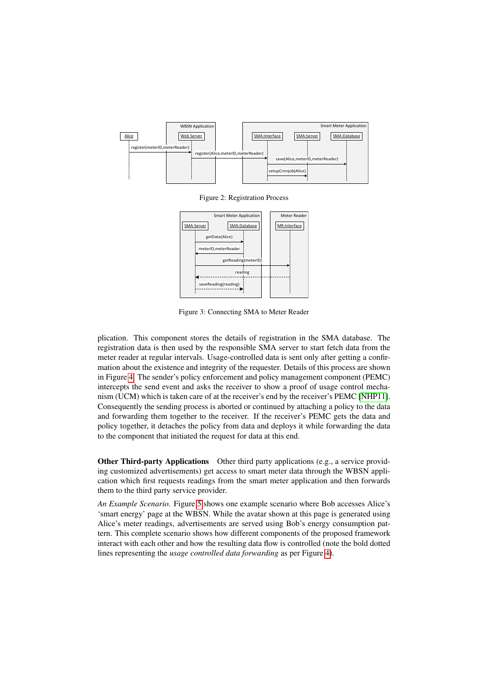

<span id="page-6-0"></span>Figure 2: Registration Process



<span id="page-6-1"></span>Figure 3: Connecting SMA to Meter Reader

plication. This component stores the details of registration in the SMA database. The registration data is then used by the responsible SMA server to start fetch data from the meter reader at regular intervals. Usage-controlled data is sent only after getting a confirmation about the existence and integrity of the requester. Details of this process are shown in Figure [4.](#page-7-0) The sender's policy enforcement and policy management component (PEMC) intercepts the send event and asks the receiver to show a proof of usage control mechanism (UCM) which is taken care of at the receiver's end by the receiver's PEMC [\[NHP11\]](#page-13-13). Consequently the sending process is aborted or continued by attaching a policy to the data and forwarding them together to the receiver. If the receiver's PEMC gets the data and policy together, it detaches the policy from data and deploys it while forwarding the data to the component that initiated the request for data at this end.

Other Third-party Applications Other third party applications (e.g., a service providing customized advertisements) get access to smart meter data through the WBSN application which first requests readings from the smart meter application and then forwards them to the third party service provider.

*An Example Scenario.* Figure [5](#page-8-1) shows one example scenario where Bob accesses Alice's 'smart energy' page at the WBSN. While the avatar shown at this page is generated using Alice's meter readings, advertisements are served using Bob's energy consumption pattern. This complete scenario shows how different components of the proposed framework interact with each other and how the resulting data flow is controlled (note the bold dotted lines representing the *usage controlled data forwarding* as per Figure [4\)](#page-7-0).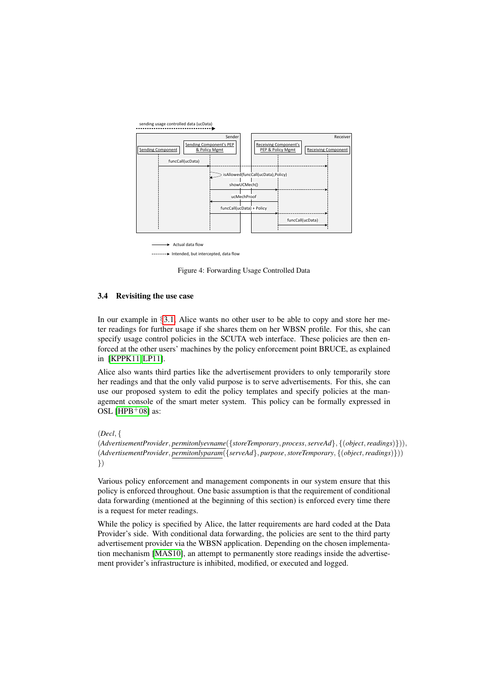



-------- Intended, but intercepted, data flow

<span id="page-7-0"></span>Figure 4: Forwarding Usage Controlled Data

#### 3.4 Revisiting the use case

In our example in  $\S 3.1$ , Alice wants no other user to be able to copy and store her meter readings for further usage if she shares them on her WBSN profile. For this, she can specify usage control policies in the SCUTA web interface. These policies are then enforced at the other users' machines by the policy enforcement point BRUCE, as explained in [\[KPPK11,](#page-13-1) [LP11\]](#page-13-2).

Alice also wants third parties like the advertisement providers to only temporarily store her readings and that the only valid purpose is to serve advertisements. For this, she can use our proposed system to edit the policy templates and specify policies at the management console of the smart meter system. This policy can be formally expressed in OSL [\[HPB](#page-13-5) $+08$ ] as:

(*Decl*, {

(*AdvertisementProvider*, *permitonlyevname*({*storeTemporary*, *process*,*serveAd*}, {(*object*,*readings*)})), (*AdvertisementProvider*, *permitonlyparam*({*serveAd*}, *purpose*,*storeTemporary*, {(*object*,*readings*)})) })

Various policy enforcement and management components in our system ensure that this policy is enforced throughout. One basic assumption is that the requirement of conditional data forwarding (mentioned at the beginning of this section) is enforced every time there is a request for meter readings.

While the policy is specified by Alice, the latter requirements are hard coded at the Data Provider's side. With conditional data forwarding, the policies are sent to the third party advertisement provider via the WBSN application. Depending on the chosen implementation mechanism [\[MAS10\]](#page-13-14), an attempt to permanently store readings inside the advertisement provider's infrastructure is inhibited, modified, or executed and logged.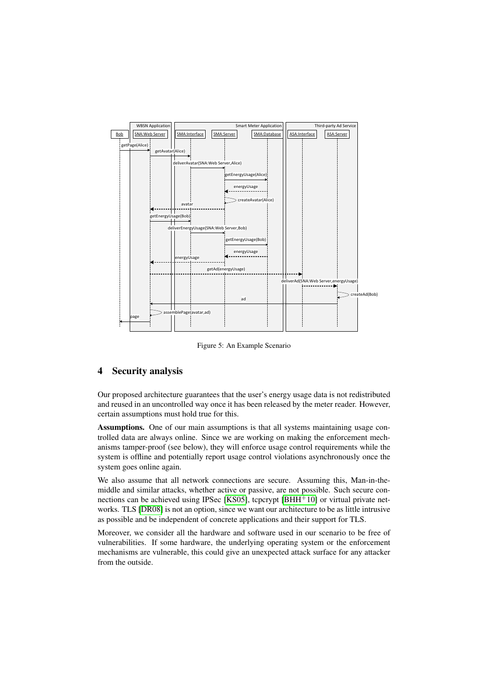

<span id="page-8-1"></span>Figure 5: An Example Scenario

## <span id="page-8-0"></span>4 Security analysis

Our proposed architecture guarantees that the user's energy usage data is not redistributed and reused in an uncontrolled way once it has been released by the meter reader. However, certain assumptions must hold true for this.

Assumptions. One of our main assumptions is that all systems maintaining usage controlled data are always online. Since we are working on making the enforcement mechanisms tamper-proof (see below), they will enforce usage control requirements while the system is offline and potentially report usage control violations asynchronously once the system goes online again.

We also assume that all network connections are secure. Assuming this, Man-in-themiddle and similar attacks, whether active or passive, are not possible. Such secure con-nections can be achieved using IPSec [\[KS05\]](#page-13-15), tcpcrypt  $[BHH<sup>+</sup>10]$  $[BHH<sup>+</sup>10]$  or virtual private networks. TLS [\[DR08\]](#page-12-13) is not an option, since we want our architecture to be as little intrusive as possible and be independent of concrete applications and their support for TLS.

Moreover, we consider all the hardware and software used in our scenario to be free of vulnerabilities. If some hardware, the underlying operating system or the enforcement mechanisms are vulnerable, this could give an unexpected attack surface for any attacker from the outside.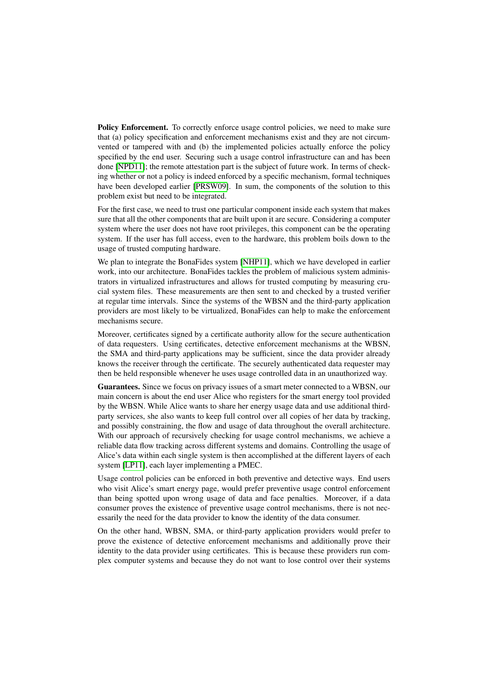Policy Enforcement. To correctly enforce usage control policies, we need to make sure that (a) policy specification and enforcement mechanisms exist and they are not circumvented or tampered with and (b) the implemented policies actually enforce the policy specified by the end user. Securing such a usage control infrastructure can and has been done [\[NPD11\]](#page-13-9); the remote attestation part is the subject of future work. In terms of checking whether or not a policy is indeed enforced by a specific mechanism, formal techniques have been developed earlier [\[PRSW09\]](#page-14-13). In sum, the components of the solution to this problem exist but need to be integrated.

For the first case, we need to trust one particular component inside each system that makes sure that all the other components that are built upon it are secure. Considering a computer system where the user does not have root privileges, this component can be the operating system. If the user has full access, even to the hardware, this problem boils down to the usage of trusted computing hardware.

We plan to integrate the BonaFides system [\[NHP11\]](#page-13-13), which we have developed in earlier work, into our architecture. BonaFides tackles the problem of malicious system administrators in virtualized infrastructures and allows for trusted computing by measuring crucial system files. These measurements are then sent to and checked by a trusted verifier at regular time intervals. Since the systems of the WBSN and the third-party application providers are most likely to be virtualized, BonaFides can help to make the enforcement mechanisms secure.

Moreover, certificates signed by a certificate authority allow for the secure authentication of data requesters. Using certificates, detective enforcement mechanisms at the WBSN, the SMA and third-party applications may be sufficient, since the data provider already knows the receiver through the certificate. The securely authenticated data requester may then be held responsible whenever he uses usage controlled data in an unauthorized way.

Guarantees. Since we focus on privacy issues of a smart meter connected to a WBSN, our main concern is about the end user Alice who registers for the smart energy tool provided by the WBSN. While Alice wants to share her energy usage data and use additional thirdparty services, she also wants to keep full control over all copies of her data by tracking, and possibly constraining, the flow and usage of data throughout the overall architecture. With our approach of recursively checking for usage control mechanisms, we achieve a reliable data flow tracking across different systems and domains. Controlling the usage of Alice's data within each single system is then accomplished at the different layers of each system [\[LP11\]](#page-13-2), each layer implementing a PMEC.

Usage control policies can be enforced in both preventive and detective ways. End users who visit Alice's smart energy page, would prefer preventive usage control enforcement than being spotted upon wrong usage of data and face penalties. Moreover, if a data consumer proves the existence of preventive usage control mechanisms, there is not necessarily the need for the data provider to know the identity of the data consumer.

On the other hand, WBSN, SMA, or third-party application providers would prefer to prove the existence of detective enforcement mechanisms and additionally prove their identity to the data provider using certificates. This is because these providers run complex computer systems and because they do not want to lose control over their systems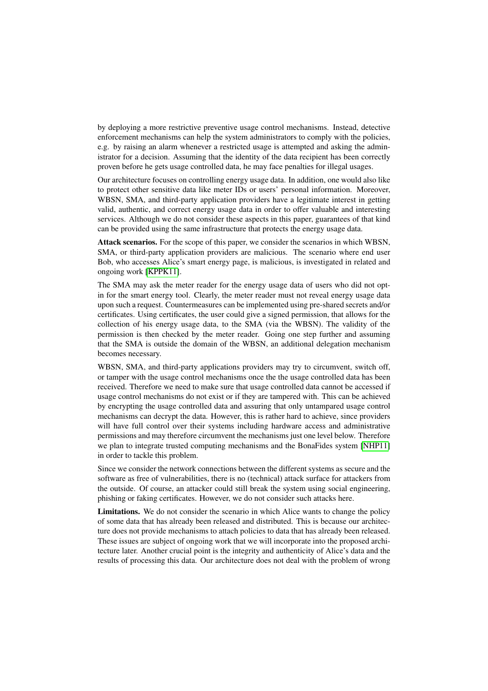by deploying a more restrictive preventive usage control mechanisms. Instead, detective enforcement mechanisms can help the system administrators to comply with the policies, e.g. by raising an alarm whenever a restricted usage is attempted and asking the administrator for a decision. Assuming that the identity of the data recipient has been correctly proven before he gets usage controlled data, he may face penalties for illegal usages.

Our architecture focuses on controlling energy usage data. In addition, one would also like to protect other sensitive data like meter IDs or users' personal information. Moreover, WBSN, SMA, and third-party application providers have a legitimate interest in getting valid, authentic, and correct energy usage data in order to offer valuable and interesting services. Although we do not consider these aspects in this paper, guarantees of that kind can be provided using the same infrastructure that protects the energy usage data.

Attack scenarios. For the scope of this paper, we consider the scenarios in which WBSN, SMA, or third-party application providers are malicious. The scenario where end user Bob, who accesses Alice's smart energy page, is malicious, is investigated in related and ongoing work [\[KPPK11\]](#page-13-1).

The SMA may ask the meter reader for the energy usage data of users who did not optin for the smart energy tool. Clearly, the meter reader must not reveal energy usage data upon such a request. Countermeasures can be implemented using pre-shared secrets and/or certificates. Using certificates, the user could give a signed permission, that allows for the collection of his energy usage data, to the SMA (via the WBSN). The validity of the permission is then checked by the meter reader. Going one step further and assuming that the SMA is outside the domain of the WBSN, an additional delegation mechanism becomes necessary.

WBSN, SMA, and third-party applications providers may try to circumvent, switch off, or tamper with the usage control mechanisms once the the usage controlled data has been received. Therefore we need to make sure that usage controlled data cannot be accessed if usage control mechanisms do not exist or if they are tampered with. This can be achieved by encrypting the usage controlled data and assuring that only untampared usage control mechanisms can decrypt the data. However, this is rather hard to achieve, since providers will have full control over their systems including hardware access and administrative permissions and may therefore circumvent the mechanisms just one level below. Therefore we plan to integrate trusted computing mechanisms and the BonaFides system [\[NHP11\]](#page-13-13) in order to tackle this problem.

Since we consider the network connections between the different systems as secure and the software as free of vulnerabilities, there is no (technical) attack surface for attackers from the outside. Of course, an attacker could still break the system using social engineering, phishing or faking certificates. However, we do not consider such attacks here.

Limitations. We do not consider the scenario in which Alice wants to change the policy of some data that has already been released and distributed. This is because our architecture does not provide mechanisms to attach policies to data that has already been released. These issues are subject of ongoing work that we will incorporate into the proposed architecture later. Another crucial point is the integrity and authenticity of Alice's data and the results of processing this data. Our architecture does not deal with the problem of wrong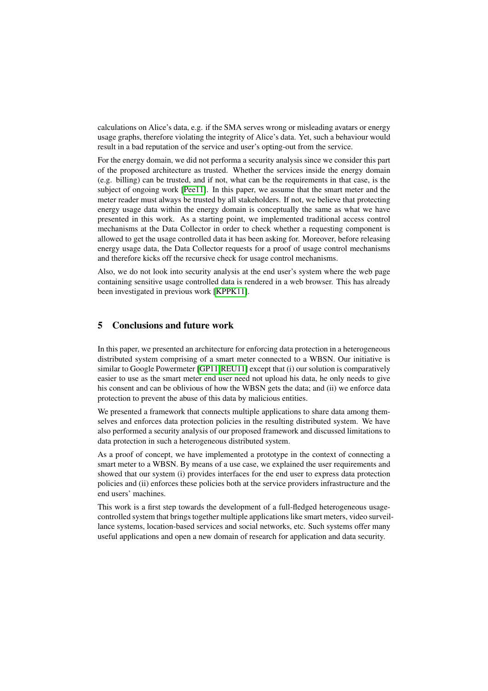calculations on Alice's data, e.g. if the SMA serves wrong or misleading avatars or energy usage graphs, therefore violating the integrity of Alice's data. Yet, such a behaviour would result in a bad reputation of the service and user's opting-out from the service.

For the energy domain, we did not performa a security analysis since we consider this part of the proposed architecture as trusted. Whether the services inside the energy domain (e.g. billing) can be trusted, and if not, what can be the requirements in that case, is the subject of ongoing work [\[Pee11\]](#page-14-14). In this paper, we assume that the smart meter and the meter reader must always be trusted by all stakeholders. If not, we believe that protecting energy usage data within the energy domain is conceptually the same as what we have presented in this work. As a starting point, we implemented traditional access control mechanisms at the Data Collector in order to check whether a requesting component is allowed to get the usage controlled data it has been asking for. Moreover, before releasing energy usage data, the Data Collector requests for a proof of usage control mechanisms and therefore kicks off the recursive check for usage control mechanisms.

Also, we do not look into security analysis at the end user's system where the web page containing sensitive usage controlled data is rendered in a web browser. This has already been investigated in previous work [\[KPPK11\]](#page-13-1).

#### <span id="page-11-0"></span>5 Conclusions and future work

In this paper, we presented an architecture for enforcing data protection in a heterogeneous distributed system comprising of a smart meter connected to a WBSN. Our initiative is similar to Google Powermeter [\[GP11](#page-13-0), REU11] except that (i) our solution is comparatively easier to use as the smart meter end user need not upload his data, he only needs to give his consent and can be oblivious of how the WBSN gets the data; and (ii) we enforce data protection to prevent the abuse of this data by malicious entities.

We presented a framework that connects multiple applications to share data among themselves and enforces data protection policies in the resulting distributed system. We have also performed a security analysis of our proposed framework and discussed limitations to data protection in such a heterogeneous distributed system.

As a proof of concept, we have implemented a prototype in the context of connecting a smart meter to a WBSN. By means of a use case, we explained the user requirements and showed that our system (i) provides interfaces for the end user to express data protection policies and (ii) enforces these policies both at the service providers infrastructure and the end users' machines.

This work is a first step towards the development of a full-fledged heterogeneous usagecontrolled system that brings together multiple applications like smart meters, video surveillance systems, location-based services and social networks, etc. Such systems offer many useful applications and open a new domain of research for application and data security.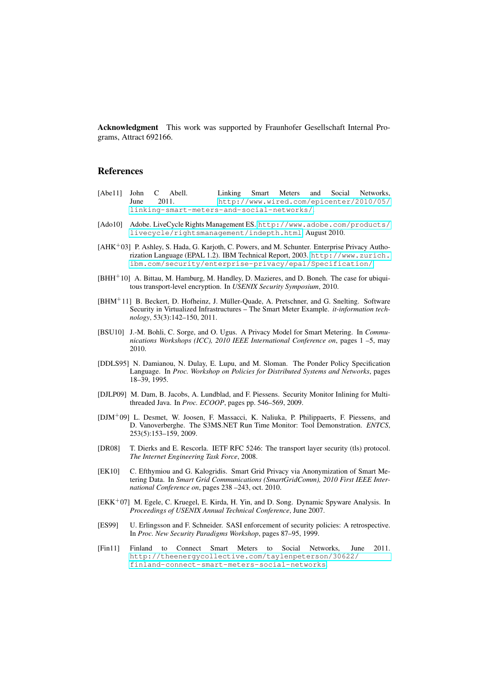Acknowledgment This work was supported by Fraunhofer Gesellschaft Internal Programs, Attract 692166.

# References

- <span id="page-12-8"></span>[Abe11] John C Abell. Linking Smart Meters and Social Networks,<br>  $\frac{1}{2011}$   $\frac{1}{2011}$   $\frac{1}{2011}$   $\frac{1}{2011}$   $\frac{1}{2011}$   $\frac{1}{2011}$   $\frac{1}{2011}$   $\frac{1}{2011}$   $\frac{1}{2011}$   $\frac{1}{2011}$   $\frac{1}{2011}$   $\frac{1}{2011}$  [http://www.wired.com/epicenter/2010/05/](http://www.wired.com/epicenter/2010/05/linking-smart-meters-and-social-networks/) [linking-smart-meters-and-social-networks/](http://www.wired.com/epicenter/2010/05/linking-smart-meters-and-social-networks/).
- <span id="page-12-7"></span>[Ado10] Adobe. LiveCycle Rights Management ES. [http://www.adobe.com/products/](http://www.adobe.com/products/livecycle/rightsmanagement/indepth.html) [livecycle/rightsmanagement/indepth.html](http://www.adobe.com/products/livecycle/rightsmanagement/indepth.html), August 2010.
- <span id="page-12-1"></span>[AHK<sup>+</sup>03] P. Ashley, S. Hada, G. Karjoth, C. Powers, and M. Schunter. Enterprise Privacy Authorization Language (EPAL 1.2). IBM Technical Report, 2003. [http://www.zurich.](http://www.zurich.ibm.com/security/enterprise-privacy/epal/Specification/) [ibm.com/security/enterprise-privacy/epal/Specification/](http://www.zurich.ibm.com/security/enterprise-privacy/epal/Specification/).
- <span id="page-12-12"></span>[BHH<sup>+</sup>10] A. Bittau, M. Hamburg, M. Handley, D. Mazieres, and D. Boneh. The case for ubiquitous transport-level encryption. In *USENIX Security Symposium*, 2010.
- <span id="page-12-0"></span>[BHM<sup>+</sup>11] B. Beckert, D. Hofheinz, J. Müller-Quade, A. Pretschner, and G. Snelting. Software Security in Virtualized Infrastructures – The Smart Meter Example. *it-information technology*, 53(3):142–150, 2011.
- <span id="page-12-11"></span>[BSU10] J.-M. Bohli, C. Sorge, and O. Ugus. A Privacy Model for Smart Metering. In *Communications Workshops (ICC), 2010 IEEE International Conference on*, pages 1 –5, may 2010.
- <span id="page-12-2"></span>[DDLS95] N. Damianou, N. Dulay, E. Lupu, and M. Sloman. The Ponder Policy Specification Language. In *Proc. Workshop on Policies for Distributed Systems and Networks*, pages 18–39, 1995.
- <span id="page-12-3"></span>[DJLP09] M. Dam, B. Jacobs, A. Lundblad, and F. Piessens. Security Monitor Inlining for Multithreaded Java. In *Proc. ECOOP*, pages pp. 546–569, 2009.
- <span id="page-12-4"></span>[DJM<sup>+</sup>09] L. Desmet, W. Joosen, F. Massacci, K. Naliuka, P. Philippaerts, F. Piessens, and D. Vanoverberghe. The S3MS.NET Run Time Monitor: Tool Demonstration. *ENTCS*, 253(5):153–159, 2009.
- <span id="page-12-13"></span>[DR08] T. Dierks and E. Rescorla. IETF RFC 5246: The transport layer security (tls) protocol. *The Internet Engineering Task Force*, 2008.
- <span id="page-12-10"></span>[EK10] C. Efthymiou and G. Kalogridis. Smart Grid Privacy via Anonymization of Smart Metering Data. In *Smart Grid Communications (SmartGridComm), 2010 First IEEE International Conference on*, pages 238 –243, oct. 2010.
- <span id="page-12-6"></span>[EKK<sup>+</sup>07] M. Egele, C. Kruegel, E. Kirda, H. Yin, and D. Song. Dynamic Spyware Analysis. In *Proceedings of USENIX Annual Technical Conference*, June 2007.
- <span id="page-12-5"></span>[ES99] U. Erlingsson and F. Schneider. SASI enforcement of security policies: A retrospective. In *Proc. New Security Paradigms Workshop*, pages 87–95, 1999.
- <span id="page-12-9"></span>[Fin11] Finland to Connect Smart Meters to Social Networks, June 2011. [http://theenergycollective.com/taylenpeterson/30622/](http://theenergycollective.com/taylenpeterson/30622/finland-connect-smart-meters-social-networks) [finland-connect-smart-meters-social-networks](http://theenergycollective.com/taylenpeterson/30622/finland-connect-smart-meters-social-networks).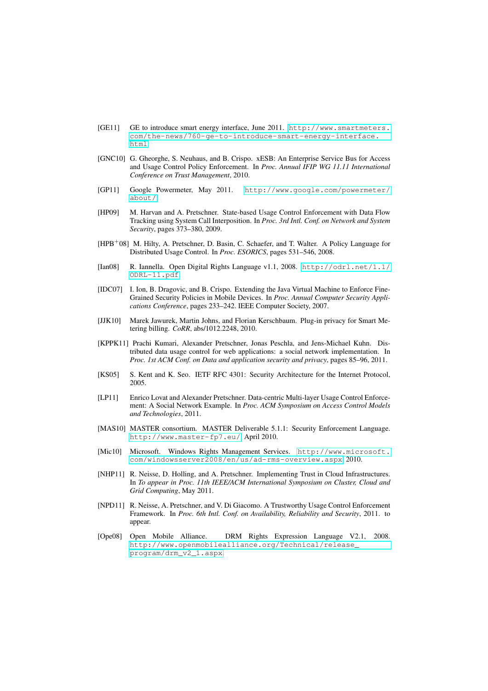- <span id="page-13-11"></span>[GE11] GE to introduce smart energy interface, June 2011. [http://www.smartmeters.](http://www.smartmeters.com/the-news/760-ge-to-introduce-smart-energy-interface.html) [com/the-news/760-ge-to-introduce-smart-energy-interface.](http://www.smartmeters.com/the-news/760-ge-to-introduce-smart-energy-interface.html) [html](http://www.smartmeters.com/the-news/760-ge-to-introduce-smart-energy-interface.html).
- <span id="page-13-8"></span>[GNC10] G. Gheorghe, S. Neuhaus, and B. Crispo. xESB: An Enterprise Service Bus for Access and Usage Control Policy Enforcement. In *Proc. Annual IFIP WG 11.11 International Conference on Trust Management*, 2010.
- <span id="page-13-0"></span>[GP11] Google Powermeter, May 2011. [http://www.google.com/powermeter/](http://www.google.com/powermeter/about/) [about/](http://www.google.com/powermeter/about/).
- <span id="page-13-6"></span>[HP09] M. Harvan and A. Pretschner. State-based Usage Control Enforcement with Data Flow Tracking using System Call Interposition. In *Proc. 3rd Intl. Conf. on Network and System Security*, pages 373–380, 2009.
- <span id="page-13-5"></span>[HPB<sup>+</sup>08] M. Hilty, A. Pretschner, D. Basin, C. Schaefer, and T. Walter. A Policy Language for Distributed Usage Control. In *Proc. ESORICS*, pages 531–546, 2008.
- <span id="page-13-3"></span>[Ian08] R. Iannella. Open Digital Rights Language v1.1, 2008. [http://odrl.net/1.1/](http://odrl.net/1.1/ODRL-11.pdf) [ODRL-11.pdf](http://odrl.net/1.1/ODRL-11.pdf).
- <span id="page-13-7"></span>[IDC07] I. Ion, B. Dragovic, and B. Crispo. Extending the Java Virtual Machine to Enforce Fine-Grained Security Policies in Mobile Devices. In *Proc. Annual Computer Security Applications Conference*, pages 233–242. IEEE Computer Society, 2007.
- <span id="page-13-12"></span>[JJK10] Marek Jawurek, Martin Johns, and Florian Kerschbaum. Plug-in privacy for Smart Metering billing. *CoRR*, abs/1012.2248, 2010.
- <span id="page-13-1"></span>[KPPK11] Prachi Kumari, Alexander Pretschner, Jonas Peschla, and Jens-Michael Kuhn. Distributed data usage control for web applications: a social network implementation. In *Proc. 1st ACM Conf. on Data and application security and privacy*, pages 85–96, 2011.
- <span id="page-13-15"></span>[KS05] S. Kent and K. Seo. IETF RFC 4301: Security Architecture for the Internet Protocol, 2005.
- <span id="page-13-2"></span>[LP11] Enrico Lovat and Alexander Pretschner. Data-centric Multi-layer Usage Control Enforcement: A Social Network Example. In *Proc. ACM Symposium on Access Control Models and Technologies*, 2011.
- <span id="page-13-14"></span>[MAS10] MASTER consortium. MASTER Deliverable 5.1.1: Security Enforcement Language. <http://www.master-fp7.eu/>, April 2010.
- <span id="page-13-10"></span>[Mic10] Microsoft. Windows Rights Management Services. [http://www.microsoft.](http://www.microsoft.com/windowsserver2008/en/us/ad-rms-overview.aspx) [com/windowsserver2008/en/us/ad-rms-overview.aspx](http://www.microsoft.com/windowsserver2008/en/us/ad-rms-overview.aspx), 2010.
- <span id="page-13-13"></span>[NHP11] R. Neisse, D. Holling, and A. Pretschner. Implementing Trust in Cloud Infrastructures. In *To appear in Proc. 11th IEEE/ACM International Symposium on Cluster, Cloud and Grid Computing*, May 2011.
- <span id="page-13-9"></span>[NPD11] R. Neisse, A. Pretschner, and V. Di Giacomo. A Trustworthy Usage Control Enforcement Framework. In *Proc. 6th Intl. Conf. on Availability, Reliability and Security*, 2011. to appear.
- <span id="page-13-4"></span>[Ope08] Open Mobile Alliance. DRM Rights Expression Language V2.1, 2008. [http://www.openmobilealliance.org/Technical/release\\_](http://www.openmobilealliance.org/Technical/release_program/drm_v2_1.aspx) [program/drm\\_v2\\_1.aspx](http://www.openmobilealliance.org/Technical/release_program/drm_v2_1.aspx).